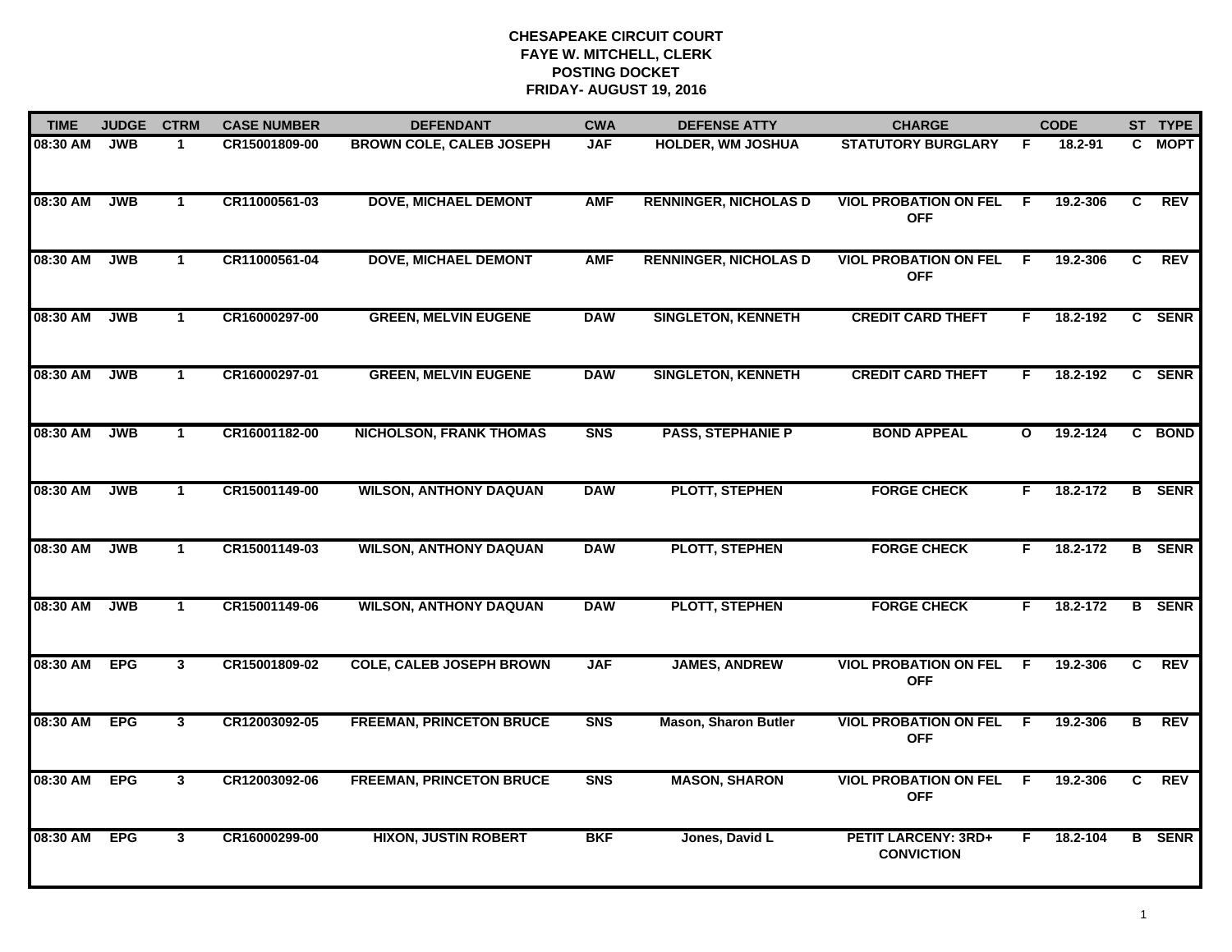| <b>TIME</b> | <b>JUDGE</b> | <b>CTRM</b>    | <b>CASE NUMBER</b> | <b>DEFENDANT</b>                | <b>CWA</b> | <b>DEFENSE ATTY</b>          | <b>CHARGE</b>                                   |              | <b>CODE</b> |              | ST TYPE       |
|-------------|--------------|----------------|--------------------|---------------------------------|------------|------------------------------|-------------------------------------------------|--------------|-------------|--------------|---------------|
| 08:30 AM    | <b>JWB</b>   | $\mathbf 1$    | CR15001809-00      | <b>BROWN COLE, CALEB JOSEPH</b> | <b>JAF</b> | <b>HOLDER, WM JOSHUA</b>     | <b>STATUTORY BURGLARY</b>                       | .F           | 18.2-91     |              | C MOPT        |
| 08:30 AM    | <b>JWB</b>   | $\mathbf{1}$   | CR11000561-03      | <b>DOVE, MICHAEL DEMONT</b>     | <b>AMF</b> | <b>RENNINGER, NICHOLAS D</b> | <b>VIOL PROBATION ON FEL</b><br><b>OFF</b>      | - F          | 19.2-306    | C            | <b>REV</b>    |
| 08:30 AM    | <b>JWB</b>   | $\mathbf{1}$   | CR11000561-04      | <b>DOVE, MICHAEL DEMONT</b>     | <b>AMF</b> | <b>RENNINGER, NICHOLAS D</b> | <b>VIOL PROBATION ON FEL</b><br><b>OFF</b>      | -F           | 19.2-306    | C            | <b>REV</b>    |
| 08:30 AM    | <b>JWB</b>   | $\overline{1}$ | CR16000297-00      | <b>GREEN, MELVIN EUGENE</b>     | <b>DAW</b> | <b>SINGLETON, KENNETH</b>    | <b>CREDIT CARD THEFT</b>                        | F            | 18.2-192    |              | C SENR        |
| 08:30 AM    | <b>JWB</b>   | $\mathbf{1}$   | CR16000297-01      | <b>GREEN, MELVIN EUGENE</b>     | <b>DAW</b> | <b>SINGLETON, KENNETH</b>    | <b>CREDIT CARD THEFT</b>                        | F.           | 18.2-192    |              | C SENR        |
| 08:30 AM    | <b>JWB</b>   | $\mathbf{1}$   | CR16001182-00      | <b>NICHOLSON, FRANK THOMAS</b>  | <b>SNS</b> | <b>PASS, STEPHANIE P</b>     | <b>BOND APPEAL</b>                              | $\mathbf{o}$ | 19.2-124    |              | C BOND        |
| 08:30 AM    | <b>JWB</b>   | $\mathbf{1}$   | CR15001149-00      | <b>WILSON, ANTHONY DAQUAN</b>   | <b>DAW</b> | <b>PLOTT, STEPHEN</b>        | <b>FORGE CHECK</b>                              | F.           | 18.2-172    |              | <b>B</b> SENR |
| 08:30 AM    | <b>JWB</b>   | $\mathbf{1}$   | CR15001149-03      | <b>WILSON, ANTHONY DAQUAN</b>   | <b>DAW</b> | <b>PLOTT, STEPHEN</b>        | <b>FORGE CHECK</b>                              | F.           | 18.2-172    |              | <b>B</b> SENR |
| 08:30 AM    | <b>JWB</b>   | $\mathbf 1$    | CR15001149-06      | <b>WILSON, ANTHONY DAQUAN</b>   | <b>DAW</b> | <b>PLOTT, STEPHEN</b>        | <b>FORGE CHECK</b>                              | F            | 18.2-172    |              | <b>B</b> SENR |
| 08:30 AM    | <b>EPG</b>   | $\mathbf{3}$   | CR15001809-02      | <b>COLE, CALEB JOSEPH BROWN</b> | <b>JAF</b> | <b>JAMES, ANDREW</b>         | <b>VIOL PROBATION ON FEL</b><br><b>OFF</b>      | F.           | 19.2-306    | $\mathbf{c}$ | <b>REV</b>    |
| 08:30 AM    | <b>EPG</b>   | $\mathbf{3}$   | CR12003092-05      | <b>FREEMAN, PRINCETON BRUCE</b> | <b>SNS</b> | <b>Mason, Sharon Butler</b>  | <b>VIOL PROBATION ON FEL</b><br><b>OFF</b>      | F.           | 19.2-306    | B            | <b>REV</b>    |
| 08:30 AM    | <b>EPG</b>   | $\mathbf{3}$   | CR12003092-06      | <b>FREEMAN, PRINCETON BRUCE</b> | <b>SNS</b> | <b>MASON, SHARON</b>         | <b>VIOL PROBATION ON FEL</b><br><b>OFF</b>      | F.           | 19.2-306    | C.           | <b>REV</b>    |
| 08:30 AM    | <b>EPG</b>   | 3              | CR16000299-00      | <b>HIXON, JUSTIN ROBERT</b>     | <b>BKF</b> | Jones, David L               | <b>PETIT LARCENY: 3RD+</b><br><b>CONVICTION</b> | F.           | 18.2-104    |              | <b>B</b> SENR |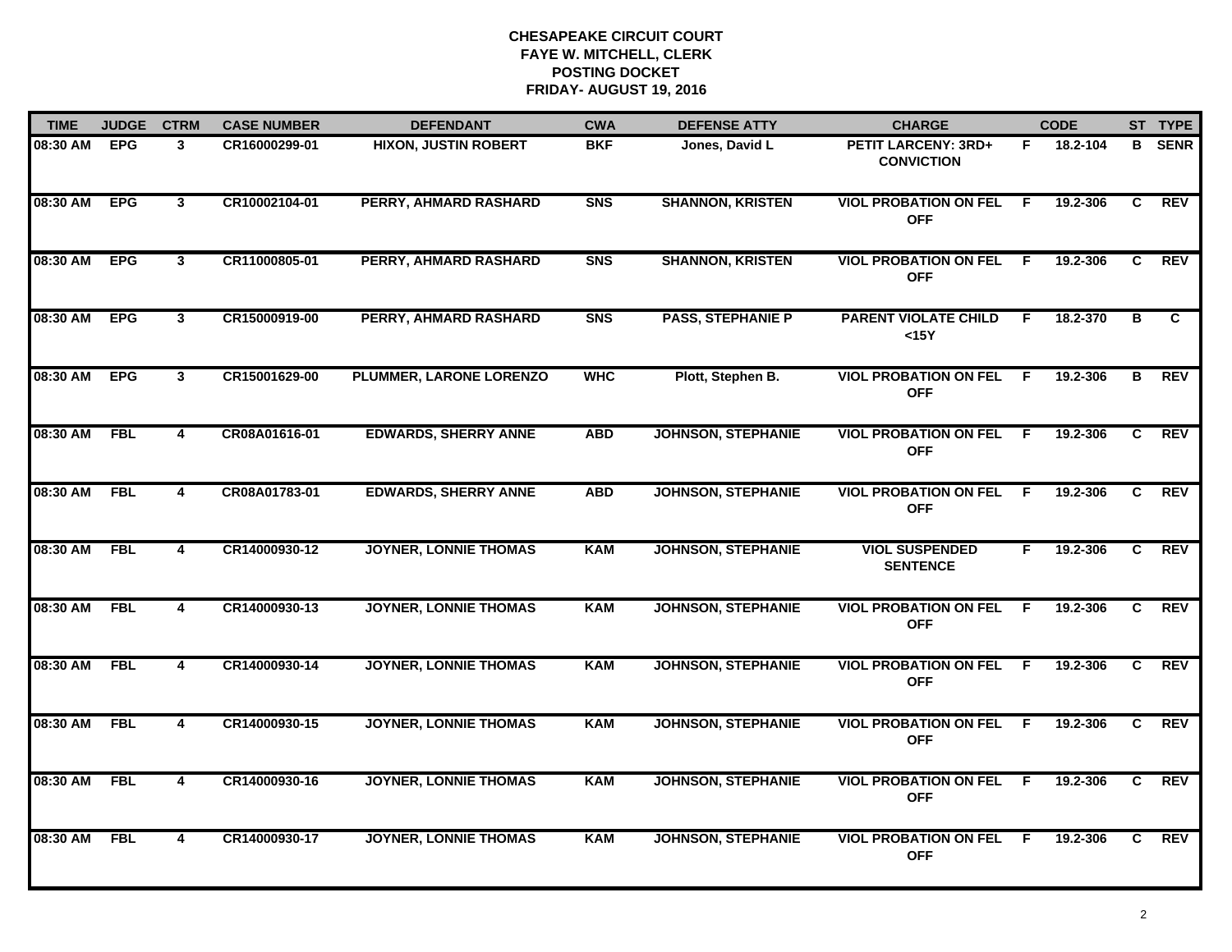| <b>TIME</b> | <b>JUDGE</b> | <b>CTRM</b>             | <b>CASE NUMBER</b> | <b>DEFENDANT</b>             | <b>CWA</b>     | <b>DEFENSE ATTY</b>       | <b>CHARGE</b>                                   |     | <b>CODE</b> |                | ST TYPE     |
|-------------|--------------|-------------------------|--------------------|------------------------------|----------------|---------------------------|-------------------------------------------------|-----|-------------|----------------|-------------|
| 08:30 AM    | <b>EPG</b>   | 3                       | CR16000299-01      | <b>HIXON, JUSTIN ROBERT</b>  | <b>BKF</b>     | Jones, David L            | <b>PETIT LARCENY: 3RD+</b><br><b>CONVICTION</b> | F.  | 18.2-104    | B              | <b>SENR</b> |
| 08:30 AM    | <b>EPG</b>   | $\overline{3}$          | CR10002104-01      | PERRY, AHMARD RASHARD        | <b>SNS</b>     | <b>SHANNON, KRISTEN</b>   | <b>VIOL PROBATION ON FEL</b><br><b>OFF</b>      | -F  | 19.2-306    | C              | REV         |
| 08:30 AM    | <b>EPG</b>   | $\overline{3}$          | CR11000805-01      | <b>PERRY, AHMARD RASHARD</b> | <b>SNS</b>     | <b>SHANNON, KRISTEN</b>   | <b>VIOL PROBATION ON FEL</b><br><b>OFF</b>      | F.  | 19.2-306    | $\overline{c}$ | <b>REV</b>  |
| 08:30 AM    | <b>EPG</b>   | $\mathbf{3}$            | CR15000919-00      | PERRY, AHMARD RASHARD        | S <sub>N</sub> | <b>PASS, STEPHANIE P</b>  | <b>PARENT VIOLATE CHILD</b><br>$15Y$            | E   | 18.2-370    | В              | C           |
| 08:30 AM    | <b>EPG</b>   | $\mathbf{3}$            | CR15001629-00      | PLUMMER, LARONE LORENZO      | <b>WHC</b>     | Plott, Stephen B.         | <b>VIOL PROBATION ON FEL</b><br><b>OFF</b>      | F.  | 19.2-306    | в              | <b>REV</b>  |
| 08:30 AM    | <b>FBL</b>   | 4                       | CR08A01616-01      | <b>EDWARDS, SHERRY ANNE</b>  | <b>ABD</b>     | <b>JOHNSON, STEPHANIE</b> | <b>VIOL PROBATION ON FEL</b><br><b>OFF</b>      | -F. | 19.2-306    | C.             | <b>REV</b>  |
| 08:30 AM    | FBL          | $\overline{\mathbf{4}}$ | CR08A01783-01      | <b>EDWARDS, SHERRY ANNE</b>  | <b>ABD</b>     | <b>JOHNSON, STEPHANIE</b> | <b>VIOL PROBATION ON FEL</b><br><b>OFF</b>      | F.  | 19.2-306    | C              | <b>REV</b>  |
| 08:30 AM    | <b>FBL</b>   | 4                       | CR14000930-12      | <b>JOYNER, LONNIE THOMAS</b> | <b>KAM</b>     | <b>JOHNSON, STEPHANIE</b> | <b>VIOL SUSPENDED</b><br><b>SENTENCE</b>        | F.  | 19.2-306    | C              | <b>REV</b>  |
| 08:30 AM    | <b>FBL</b>   | 4                       | CR14000930-13      | <b>JOYNER, LONNIE THOMAS</b> | <b>KAM</b>     | <b>JOHNSON, STEPHANIE</b> | <b>VIOL PROBATION ON FEL</b><br><b>OFF</b>      | F.  | 19.2-306    | C.             | <b>REV</b>  |
| 08:30 AM    | <b>FBL</b>   | 4                       | CR14000930-14      | <b>JOYNER, LONNIE THOMAS</b> | <b>KAM</b>     | <b>JOHNSON, STEPHANIE</b> | <b>VIOL PROBATION ON FEL</b><br><b>OFF</b>      | F.  | 19.2-306    | C              | <b>REV</b>  |
| 08:30 AM    | <b>FBL</b>   | 4                       | CR14000930-15      | <b>JOYNER, LONNIE THOMAS</b> | <b>KAM</b>     | <b>JOHNSON, STEPHANIE</b> | <b>VIOL PROBATION ON FEL</b><br><b>OFF</b>      | - F | 19.2-306    | C              | <b>REV</b>  |
| 08:30 AM    | <b>FBL</b>   | $\overline{\mathbf{4}}$ | CR14000930-16      | <b>JOYNER, LONNIE THOMAS</b> | <b>KAM</b>     | <b>JOHNSON, STEPHANIE</b> | <b>VIOL PROBATION ON FEL</b><br><b>OFF</b>      | F.  | 19.2-306    | C.             | <b>REV</b>  |
| 08:30 AM    | <b>FBL</b>   | 4                       | CR14000930-17      | <b>JOYNER, LONNIE THOMAS</b> | <b>KAM</b>     | <b>JOHNSON, STEPHANIE</b> | <b>VIOL PROBATION ON FEL</b><br><b>OFF</b>      | -F  | 19.2-306    | C.             | <b>REV</b>  |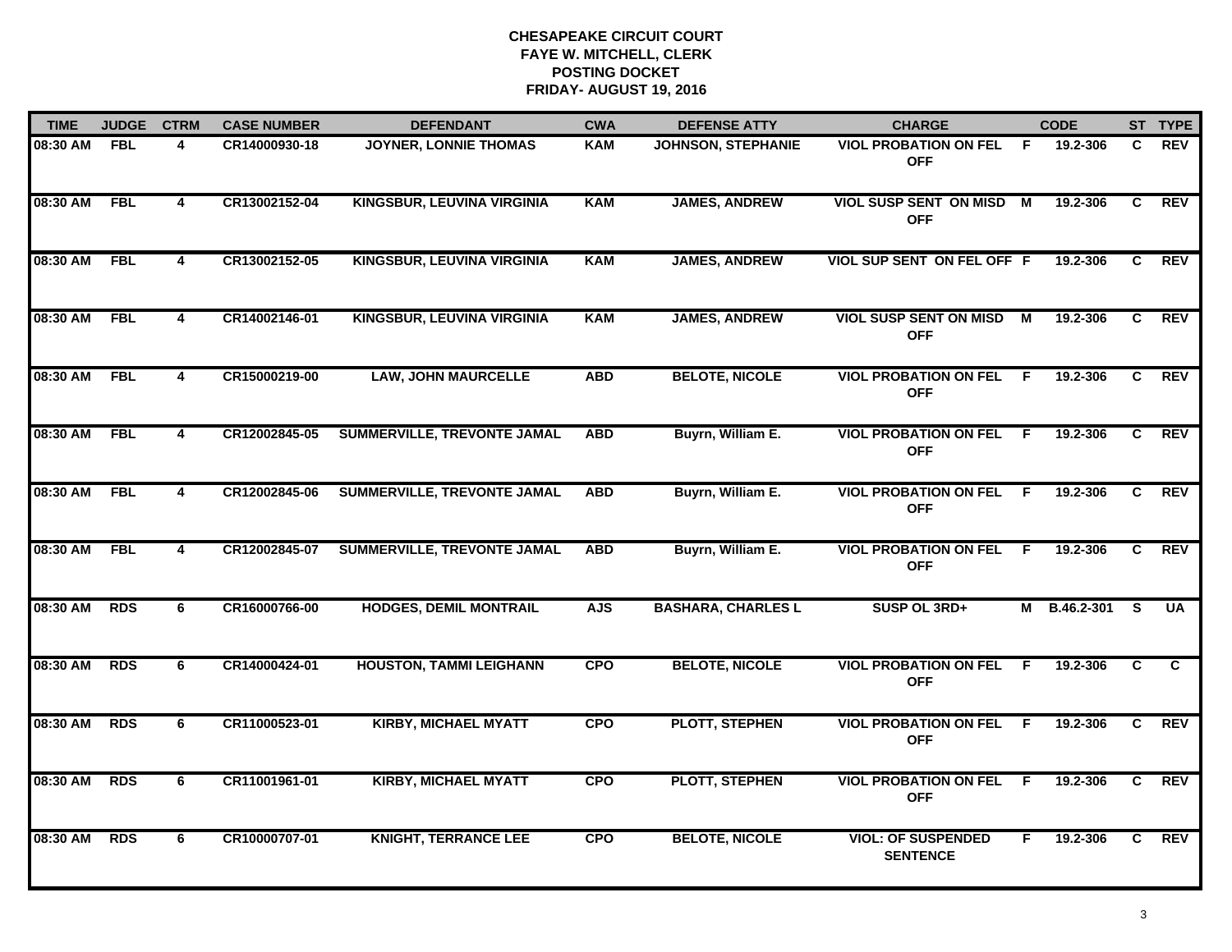| <b>TIME</b>  | <b>JUDGE</b> | <b>CTRM</b>             | <b>CASE NUMBER</b> | <b>DEFENDANT</b>                   | <b>CWA</b> | <b>DEFENSE ATTY</b>       | <b>CHARGE</b>                                 |     | <b>CODE</b>  |    | ST TYPE    |
|--------------|--------------|-------------------------|--------------------|------------------------------------|------------|---------------------------|-----------------------------------------------|-----|--------------|----|------------|
| 08:30 AM     | FBL          | 4                       | CR14000930-18      | JOYNER, LONNIE THOMAS              | <b>KAM</b> | <b>JOHNSON, STEPHANIE</b> | <b>VIOL PROBATION ON FEL</b><br><b>OFF</b>    | - F | 19.2-306     | C  | <b>REV</b> |
| 08:30 AM     | <b>FBL</b>   | $\overline{4}$          | CR13002152-04      | KINGSBUR, LEUVINA VIRGINIA         | <b>KAM</b> | <b>JAMES, ANDREW</b>      | <b>VIOL SUSP SENT ON MISD M</b><br><b>OFF</b> |     | 19.2-306     | C  | <b>REV</b> |
| 08:30 AM     | <b>FBL</b>   | 4                       | CR13002152-05      | <b>KINGSBUR, LEUVINA VIRGINIA</b>  | <b>KAM</b> | <b>JAMES, ANDREW</b>      | VIOL SUP SENT ON FEL OFF F                    |     | 19.2-306     | C  | <b>REV</b> |
| 08:30 AM     | <b>FBL</b>   | 4                       | CR14002146-01      | <b>KINGSBUR, LEUVINA VIRGINIA</b>  | <b>KAM</b> | <b>JAMES, ANDREW</b>      | <b>VIOL SUSP SENT ON MISD</b><br><b>OFF</b>   | М   | 19.2-306     | C. | <b>REV</b> |
| 08:30 AM     | <b>FBL</b>   | 4                       | CR15000219-00      | <b>LAW, JOHN MAURCELLE</b>         | <b>ABD</b> | <b>BELOTE, NICOLE</b>     | <b>VIOL PROBATION ON FEL</b><br><b>OFF</b>    | F.  | 19.2-306     | C. | <b>REV</b> |
| 08:30 AM FBL |              | 4                       | CR12002845-05      | SUMMERVILLE, TREVONTE JAMAL        | <b>ABD</b> | Buyrn, William E.         | <b>VIOL PROBATION ON FEL F</b><br><b>OFF</b>  |     | 19.2-306     | C. | REV        |
| 08:30 AM     | FBL          | $\overline{\mathbf{4}}$ | CR12002845-06      | SUMMERVILLE, TREVONTE JAMAL        | <b>ABD</b> | Buyrn, William E.         | <b>VIOL PROBATION ON FEL</b><br><b>OFF</b>    | - F | 19.2-306     | C  | REV        |
| 08:30 AM     | <b>FBL</b>   | 4                       | CR12002845-07      | <b>SUMMERVILLE, TREVONTE JAMAL</b> | <b>ABD</b> | Buyrn, William E.         | <b>VIOL PROBATION ON FEL</b><br><b>OFF</b>    | -F  | 19.2-306     | C. | REV        |
| 08:30 AM     | <b>RDS</b>   | 6                       | CR16000766-00      | <b>HODGES, DEMIL MONTRAIL</b>      | <b>AJS</b> | <b>BASHARA, CHARLES L</b> | SUSP OL 3RD+                                  |     | M B.46.2-301 | -S | <b>UA</b>  |
| 08:30 AM     | <b>RDS</b>   | 6                       | CR14000424-01      | <b>HOUSTON, TAMMI LEIGHANN</b>     | <b>CPO</b> | <b>BELOTE, NICOLE</b>     | <b>VIOL PROBATION ON FEL</b><br><b>OFF</b>    | -F  | 19.2-306     | C  | C          |
| 08:30 AM     | <b>RDS</b>   | 6                       | CR11000523-01      | <b>KIRBY, MICHAEL MYATT</b>        | <b>CPO</b> | <b>PLOTT, STEPHEN</b>     | <b>VIOL PROBATION ON FEL</b><br><b>OFF</b>    | -F  | 19.2-306     | C. | REV        |
| 08:30 AM     | <b>RDS</b>   | 6                       | CR11001961-01      | <b>KIRBY, MICHAEL MYATT</b>        | <b>CPO</b> | <b>PLOTT, STEPHEN</b>     | <b>VIOL PROBATION ON FEL</b><br><b>OFF</b>    | F.  | 19.2-306     | C  | REV        |
| 08:30 AM     | <b>RDS</b>   | 6                       | CR10000707-01      | <b>KNIGHT, TERRANCE LEE</b>        | <b>CPO</b> | <b>BELOTE, NICOLE</b>     | <b>VIOL: OF SUSPENDED</b><br><b>SENTENCE</b>  | F.  | 19.2-306     | C. | <b>REV</b> |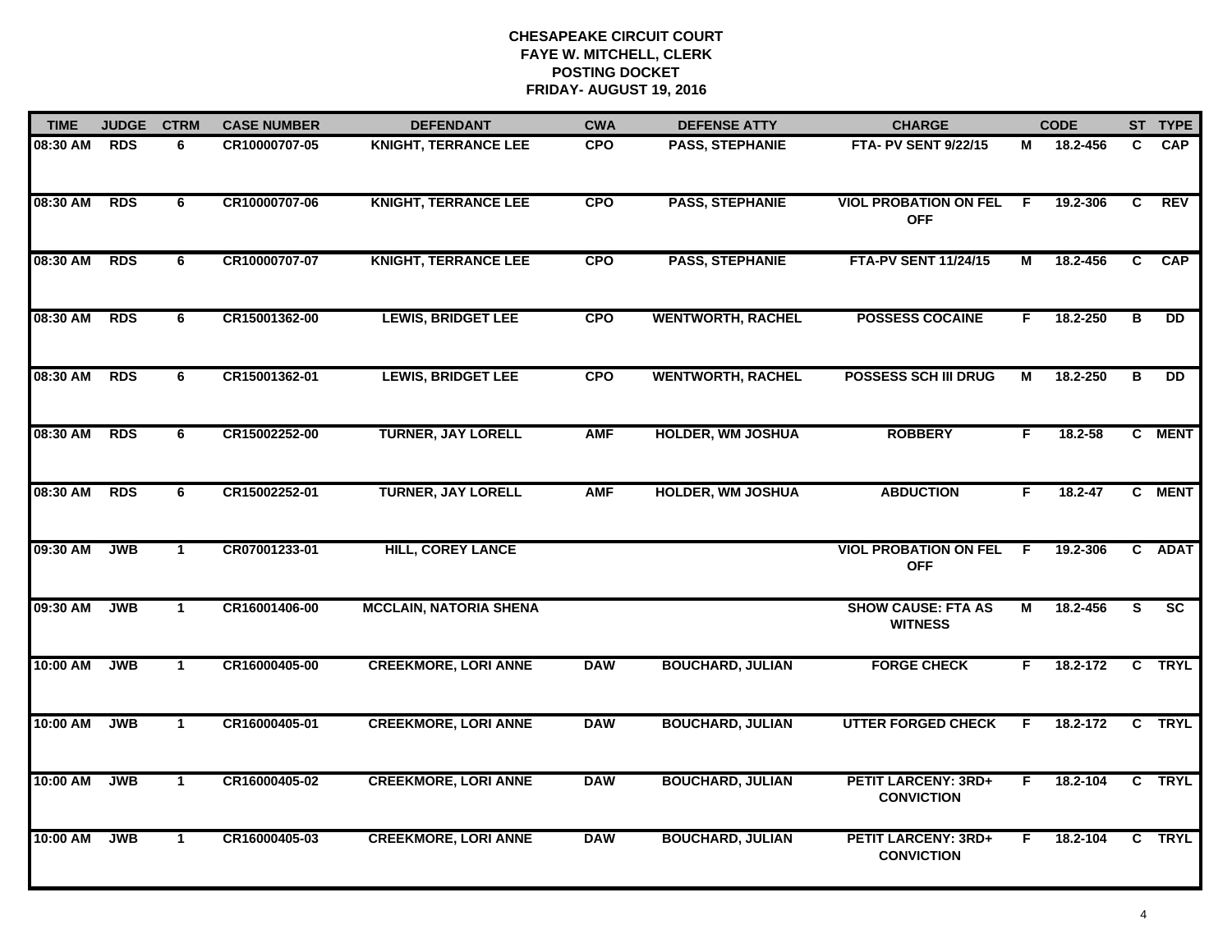| <b>TIME</b> | <b>JUDGE</b> | <b>CTRM</b>  | <b>CASE NUMBER</b> | <b>DEFENDANT</b>              | <b>CWA</b> | <b>DEFENSE ATTY</b>      | <b>CHARGE</b>                                   |    | <b>CODE</b> |   | ST TYPE    |
|-------------|--------------|--------------|--------------------|-------------------------------|------------|--------------------------|-------------------------------------------------|----|-------------|---|------------|
| 08:30 AM    | <b>RDS</b>   | 6            | CR10000707-05      | <b>KNIGHT, TERRANCE LEE</b>   | <b>CPO</b> | PASS, STEPHANIE          | <b>FTA- PV SENT 9/22/15</b>                     | М  | 18.2-456    | C | <b>CAP</b> |
| 08:30 AM    | <b>RDS</b>   | 6            | CR10000707-06      | <b>KNIGHT, TERRANCE LEE</b>   | <b>CPO</b> | <b>PASS, STEPHANIE</b>   | <b>VIOL PROBATION ON FEL</b><br><b>OFF</b>      | -F | 19.2-306    | C | <b>REV</b> |
| 08:30 AM    | <b>RDS</b>   | 6            | CR10000707-07      | <b>KNIGHT, TERRANCE LEE</b>   | <b>CPO</b> | <b>PASS, STEPHANIE</b>   | <b>FTA-PV SENT 11/24/15</b>                     | М  | 18.2-456    | C | <b>CAP</b> |
| 08:30 AM    | <b>RDS</b>   | 6            | CR15001362-00      | <b>LEWIS, BRIDGET LEE</b>     | <b>CPO</b> | <b>WENTWORTH, RACHEL</b> | <b>POSSESS COCAINE</b>                          | F. | 18.2-250    | В | DD         |
| 08:30 AM    | <b>RDS</b>   | 6            | CR15001362-01      | <b>LEWIS, BRIDGET LEE</b>     | <b>CPO</b> | <b>WENTWORTH, RACHEL</b> | <b>POSSESS SCH III DRUG</b>                     | М  | 18.2-250    | В | <b>DD</b>  |
| 08:30 AM    | <b>RDS</b>   | 6            | CR15002252-00      | <b>TURNER, JAY LORELL</b>     | <b>AMF</b> | <b>HOLDER, WM JOSHUA</b> | <b>ROBBERY</b>                                  | F. | 18.2-58     |   | C MENT     |
| 08:30 AM    | <b>RDS</b>   | 6            | CR15002252-01      | <b>TURNER, JAY LORELL</b>     | <b>AMF</b> | <b>HOLDER, WM JOSHUA</b> | <b>ABDUCTION</b>                                | F. | $18.2 - 47$ |   | C MENT     |
| 09:30 AM    | <b>JWB</b>   | $\mathbf{1}$ | CR07001233-01      | <b>HILL, COREY LANCE</b>      |            |                          | <b>VIOL PROBATION ON FEL</b><br><b>OFF</b>      | -F | 19.2-306    |   | C ADAT     |
| 09:30 AM    | <b>JWB</b>   | $\mathbf 1$  | CR16001406-00      | <b>MCCLAIN, NATORIA SHENA</b> |            |                          | <b>SHOW CAUSE: FTA AS</b><br><b>WITNESS</b>     | М  | 18.2-456    | S | <b>SC</b>  |
| 10:00 AM    | <b>JWB</b>   | $\mathbf{1}$ | CR16000405-00      | <b>CREEKMORE, LORI ANNE</b>   | <b>DAW</b> | <b>BOUCHARD, JULIAN</b>  | <b>FORGE CHECK</b>                              | F. | 18.2-172    |   | C TRYL     |
| 10:00 AM    | <b>JWB</b>   | $\mathbf 1$  | CR16000405-01      | <b>CREEKMORE, LORI ANNE</b>   | <b>DAW</b> | <b>BOUCHARD, JULIAN</b>  | <b>UTTER FORGED CHECK</b>                       | F. | 18.2-172    |   | C TRYL     |
| 10:00 AM    | <b>JWB</b>   | $\mathbf{1}$ | CR16000405-02      | <b>CREEKMORE, LORI ANNE</b>   | <b>DAW</b> | <b>BOUCHARD, JULIAN</b>  | <b>PETIT LARCENY: 3RD+</b><br><b>CONVICTION</b> | F  | 18.2-104    |   | C TRYL     |
| 10:00 AM    | <b>JWB</b>   | $\mathbf{1}$ | CR16000405-03      | <b>CREEKMORE, LORI ANNE</b>   | <b>DAW</b> | <b>BOUCHARD, JULIAN</b>  | <b>PETIT LARCENY: 3RD+</b><br><b>CONVICTION</b> | F. | 18.2-104    |   | C TRYL     |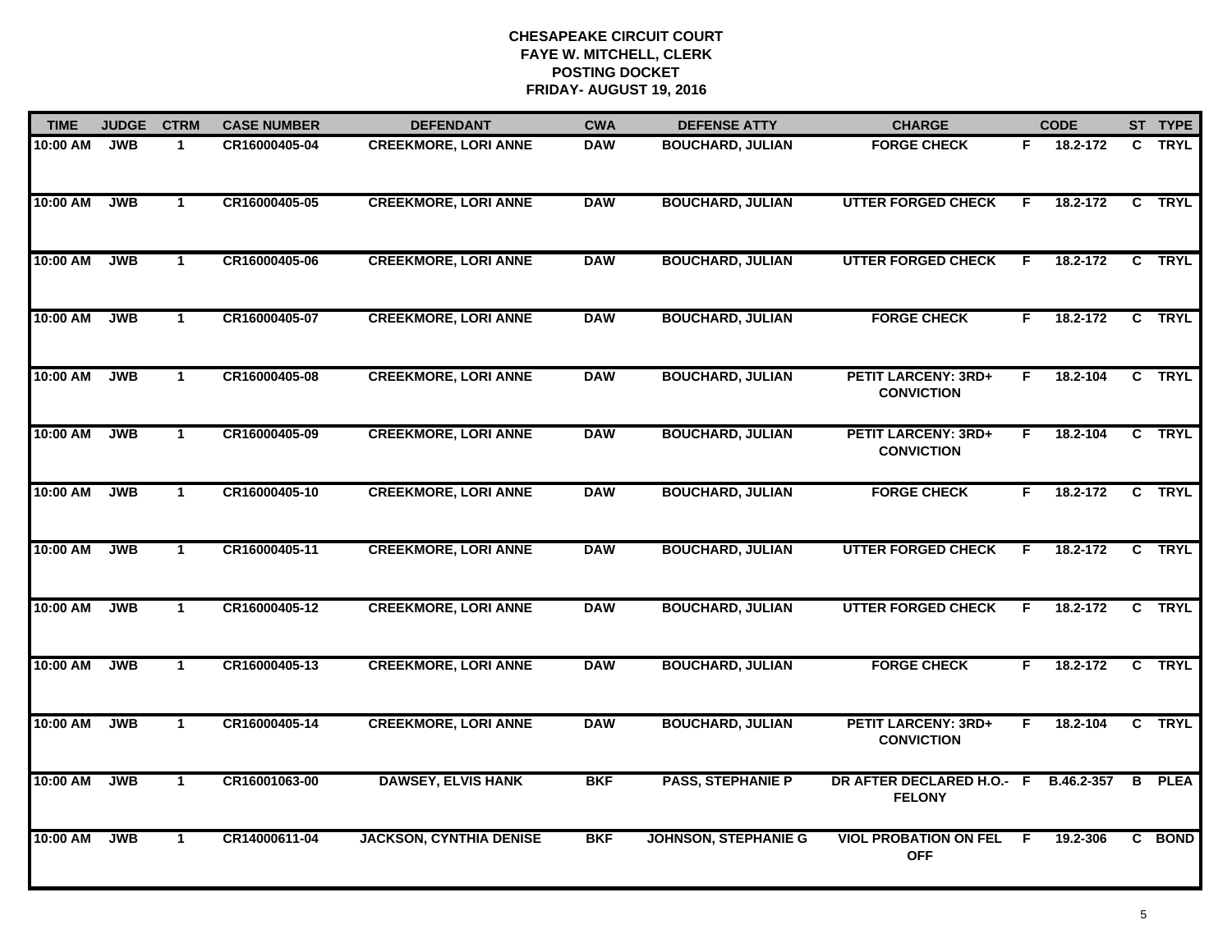| <b>TIME</b> | <b>JUDGE</b> | <b>CTRM</b>    | <b>CASE NUMBER</b> | <b>DEFENDANT</b>               | <b>CWA</b> | <b>DEFENSE ATTY</b>         | <b>CHARGE</b>                                   |    | <b>CODE</b> |                | ST TYPE       |
|-------------|--------------|----------------|--------------------|--------------------------------|------------|-----------------------------|-------------------------------------------------|----|-------------|----------------|---------------|
| 10:00 AM    | <b>JWB</b>   | $\mathbf{1}$   | CR16000405-04      | <b>CREEKMORE, LORI ANNE</b>    | <b>DAW</b> | <b>BOUCHARD, JULIAN</b>     | <b>FORGE CHECK</b>                              | F. | 18.2-172    |                | C TRYL        |
| 10:00 AM    | <b>JWB</b>   | $\mathbf{1}$   | CR16000405-05      | <b>CREEKMORE, LORI ANNE</b>    | <b>DAW</b> | <b>BOUCHARD, JULIAN</b>     | <b>UTTER FORGED CHECK</b>                       | F  | 18.2-172    |                | C TRYL        |
| 10:00 AM    | <b>JWB</b>   | $\mathbf{1}$   | CR16000405-06      | <b>CREEKMORE, LORI ANNE</b>    | <b>DAW</b> | <b>BOUCHARD, JULIAN</b>     | <b>UTTER FORGED CHECK</b>                       | F  | 18.2-172    |                | C TRYL        |
| 10:00 AM    | <b>JWB</b>   | $\mathbf{1}$   | CR16000405-07      | <b>CREEKMORE, LORI ANNE</b>    | <b>DAW</b> | <b>BOUCHARD, JULIAN</b>     | <b>FORGE CHECK</b>                              | F. | 18.2-172    | C.             | <b>TRYL</b>   |
| 10:00 AM    | <b>JWB</b>   | $\mathbf{1}$   | CR16000405-08      | <b>CREEKMORE, LORI ANNE</b>    | <b>DAW</b> | <b>BOUCHARD, JULIAN</b>     | <b>PETIT LARCENY: 3RD+</b><br><b>CONVICTION</b> | F. | 18.2-104    |                | C TRYL        |
| 10:00 AM    | <b>JWB</b>   | $\mathbf{1}$   | CR16000405-09      | <b>CREEKMORE, LORI ANNE</b>    | <b>DAW</b> | <b>BOUCHARD, JULIAN</b>     | <b>PETIT LARCENY: 3RD+</b><br><b>CONVICTION</b> | F. | 18.2-104    |                | C TRYL        |
| 10:00 AM    | <b>JWB</b>   | $\overline{1}$ | CR16000405-10      | <b>CREEKMORE, LORI ANNE</b>    | <b>DAW</b> | <b>BOUCHARD, JULIAN</b>     | <b>FORGE CHECK</b>                              | F. | 18.2-172    | $\overline{c}$ | <b>TRYL</b>   |
| 10:00 AM    | <b>JWB</b>   | $\mathbf{1}$   | CR16000405-11      | <b>CREEKMORE, LORI ANNE</b>    | <b>DAW</b> | <b>BOUCHARD, JULIAN</b>     | <b>UTTER FORGED CHECK</b>                       | F  | 18.2-172    |                | C TRYL        |
| 10:00 AM    | <b>JWB</b>   | $\mathbf 1$    | CR16000405-12      | <b>CREEKMORE, LORI ANNE</b>    | <b>DAW</b> | <b>BOUCHARD, JULIAN</b>     | <b>UTTER FORGED CHECK</b>                       | E  | 18.2-172    | C              | <b>TRYL</b>   |
| 10:00 AM    | <b>JWB</b>   | $\mathbf{1}$   | CR16000405-13      | <b>CREEKMORE, LORI ANNE</b>    | <b>DAW</b> | <b>BOUCHARD, JULIAN</b>     | <b>FORGE CHECK</b>                              | F. | 18.2-172    |                | C TRYL        |
| 10:00 AM    | <b>JWB</b>   | $\mathbf{1}$   | CR16000405-14      | <b>CREEKMORE, LORI ANNE</b>    | <b>DAW</b> | <b>BOUCHARD, JULIAN</b>     | <b>PETIT LARCENY: 3RD+</b><br><b>CONVICTION</b> | F. | 18.2-104    |                | C TRYL        |
| 10:00 AM    | <b>JWB</b>   | $\mathbf{1}$   | CR16001063-00      | <b>DAWSEY, ELVIS HANK</b>      | <b>BKF</b> | <b>PASS, STEPHANIE P</b>    | DR AFTER DECLARED H.O.- F<br><b>FELONY</b>      |    | B.46.2-357  |                | <b>B</b> PLEA |
| 10:00 AM    | <b>JWB</b>   | $\mathbf{1}$   | CR14000611-04      | <b>JACKSON, CYNTHIA DENISE</b> | <b>BKF</b> | <b>JOHNSON, STEPHANIE G</b> | <b>VIOL PROBATION ON FEL</b><br><b>OFF</b>      | -F | 19.2-306    |                | C BOND        |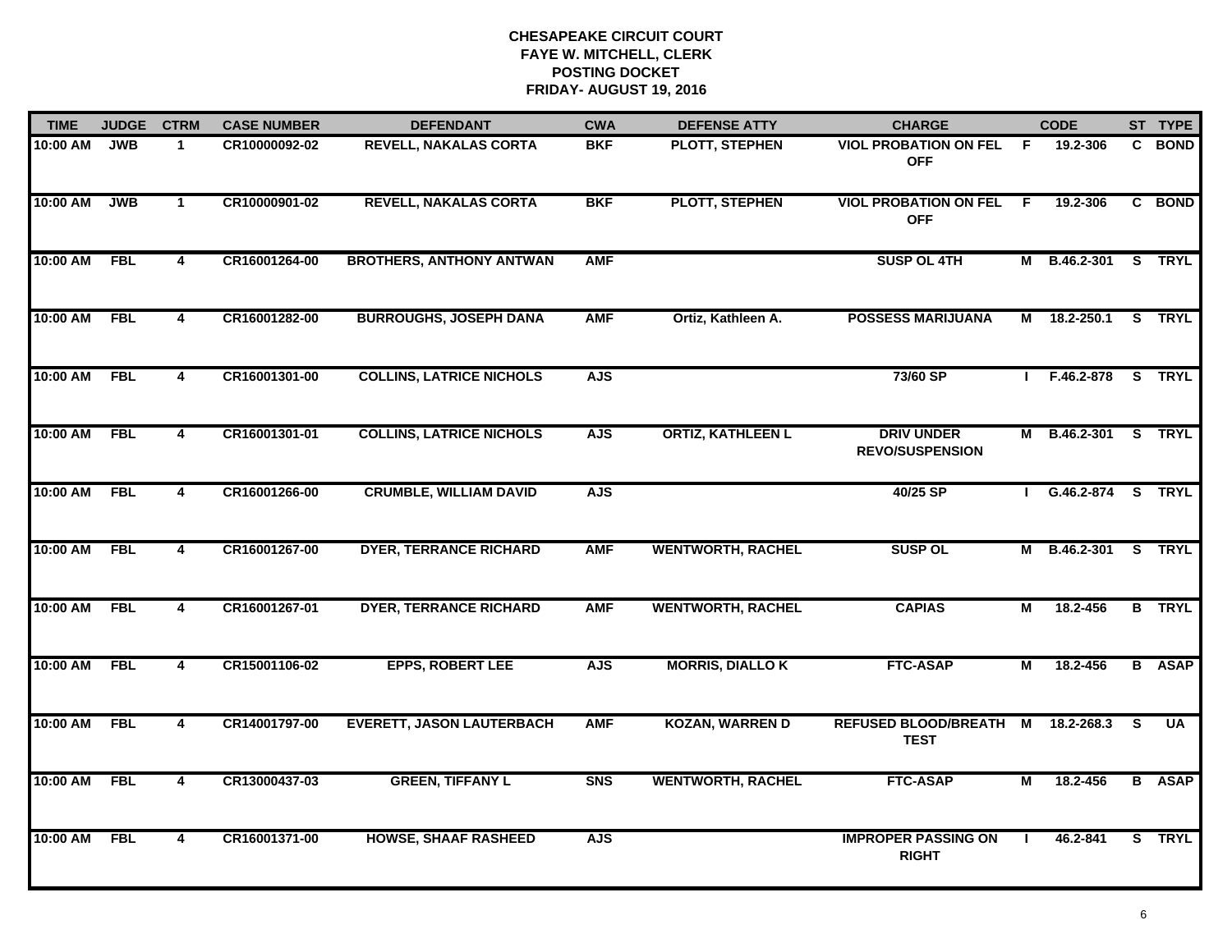| <b>TIME</b> | <b>JUDGE</b> | <b>CTRM</b>             | <b>CASE NUMBER</b> | <b>DEFENDANT</b>                 | <b>CWA</b>     | <b>DEFENSE ATTY</b>      | <b>CHARGE</b>                                |                         | <b>CODE</b>         |              | ST TYPE       |
|-------------|--------------|-------------------------|--------------------|----------------------------------|----------------|--------------------------|----------------------------------------------|-------------------------|---------------------|--------------|---------------|
| 10:00 AM    | <b>JWB</b>   | $\mathbf 1$             | CR10000092-02      | <b>REVELL, NAKALAS CORTA</b>     | <b>BKF</b>     | PLOTT, STEPHEN           | <b>VIOL PROBATION ON FEL</b><br><b>OFF</b>   | - F                     | 19.2-306            | C.           | <b>BOND</b>   |
| 10:00 AM    | <b>JWB</b>   | $\mathbf{1}$            | CR10000901-02      | <b>REVELL, NAKALAS CORTA</b>     | <b>BKF</b>     | <b>PLOTT, STEPHEN</b>    | <b>VIOL PROBATION ON FEL</b><br><b>OFF</b>   | - F                     | 19.2-306            | $\mathbf{c}$ | <b>BOND</b>   |
| 10:00 AM    | <b>FBL</b>   | 4                       | CR16001264-00      | <b>BROTHERS, ANTHONY ANTWAN</b>  | <b>AMF</b>     |                          | <b>SUSP OL 4TH</b>                           |                         | M B.46.2-301        |              | S TRYL        |
| 10:00 AM    | <b>FBL</b>   | $\overline{4}$          | CR16001282-00      | <b>BURROUGHS, JOSEPH DANA</b>    | <b>AMF</b>     | Ortiz, Kathleen A.       | <b>POSSESS MARIJUANA</b>                     | M                       | 18.2-250.1          |              | S TRYL        |
| 10:00 AM    | <b>FBL</b>   | 4                       | CR16001301-00      | <b>COLLINS, LATRICE NICHOLS</b>  | <b>AJS</b>     |                          | 73/60 SP                                     |                         | F.46.2-878          |              | S TRYL        |
| 10:00 AM    | <b>FBL</b>   | 4                       | CR16001301-01      | <b>COLLINS, LATRICE NICHOLS</b>  | <b>AJS</b>     | <b>ORTIZ, KATHLEEN L</b> | <b>DRIV UNDER</b><br><b>REVO/SUSPENSION</b>  |                         | M B.46.2-301 S TRYL |              |               |
| 10:00 AM    | <b>FBL</b>   | $\overline{\mathbf{4}}$ | CR16001266-00      | <b>CRUMBLE, WILLIAM DAVID</b>    | <b>AJS</b>     |                          | 40/25 SP                                     |                         | G.46.2-874 S TRYL   |              |               |
| 10:00 AM    | <b>FBL</b>   | 4                       | CR16001267-00      | <b>DYER, TERRANCE RICHARD</b>    | <b>AMF</b>     | <b>WENTWORTH, RACHEL</b> | <b>SUSP OL</b>                               |                         | M B.46.2-301 S TRYL |              |               |
| 10:00 AM    | <b>FBL</b>   | 4                       | CR16001267-01      | <b>DYER, TERRANCE RICHARD</b>    | <b>AMF</b>     | <b>WENTWORTH, RACHEL</b> | <b>CAPIAS</b>                                | М                       | 18.2-456            |              | <b>B</b> TRYL |
| 10:00 AM    | <b>FBL</b>   | $\overline{4}$          | CR15001106-02      | <b>EPPS, ROBERT LEE</b>          | <b>AJS</b>     | <b>MORRIS, DIALLO K</b>  | <b>FTC-ASAP</b>                              | М                       | 18.2-456            |              | <b>B</b> ASAP |
| 10:00 AM    | <b>FBL</b>   | 4                       | CR14001797-00      | <b>EVERETT, JASON LAUTERBACH</b> | <b>AMF</b>     | <b>KOZAN, WARREN D</b>   | <b>REFUSED BLOOD/BREATH M</b><br><b>TEST</b> |                         | 18.2-268.3          | S.           | <b>UA</b>     |
| 10:00 AM    | FBL          | $\overline{\mathbf{4}}$ | CR13000437-03      | <b>GREEN, TIFFANY L</b>          | S <sub>N</sub> | <b>WENTWORTH, RACHEL</b> | <b>FTC-ASAP</b>                              | $\overline{\mathsf{M}}$ | 18.2-456            |              | <b>B</b> ASAP |
| 10:00 AM    | <b>FBL</b>   | $\overline{4}$          | CR16001371-00      | <b>HOWSE, SHAAF RASHEED</b>      | <b>AJS</b>     |                          | <b>IMPROPER PASSING ON</b><br><b>RIGHT</b>   | $\mathbf{I}$            | 46.2-841            |              | S TRYL        |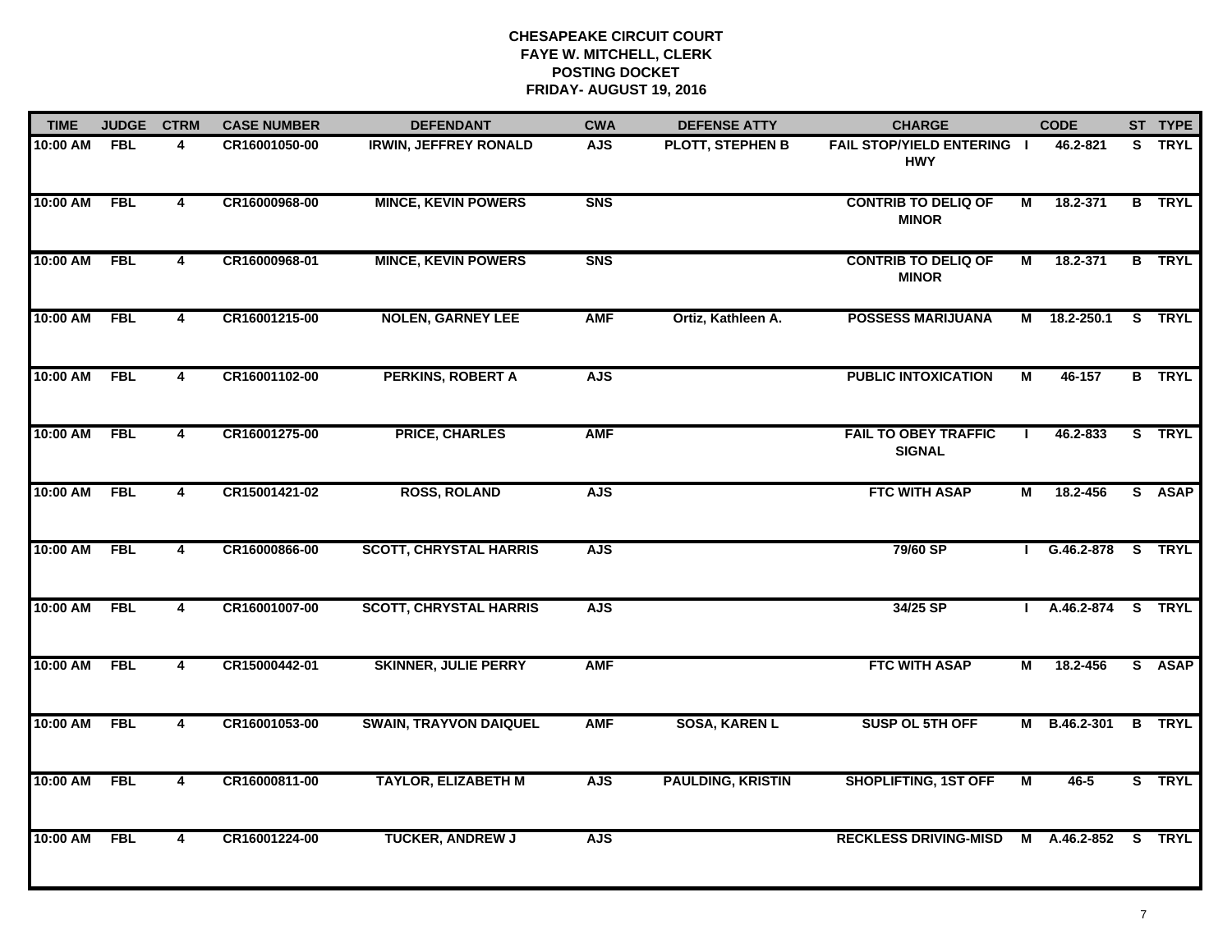| <b>TIME</b>  | <b>JUDGE</b> | <b>CTRM</b>    | <b>CASE NUMBER</b> | <b>DEFENDANT</b>              | <b>CWA</b> | <b>DEFENSE ATTY</b>      | <b>CHARGE</b>                                   |                | <b>CODE</b>    | ST TYPE       |
|--------------|--------------|----------------|--------------------|-------------------------------|------------|--------------------------|-------------------------------------------------|----------------|----------------|---------------|
| 10:00 AM FBL |              | 4              | CR16001050-00      | <b>IRWIN, JEFFREY RONALD</b>  | <b>AJS</b> | <b>PLOTT, STEPHEN B</b>  | <b>FAIL STOP/YIELD ENTERING I</b><br><b>HWY</b> |                | 46.2-821       | S TRYL        |
| 10:00 AM     | FBL          | $\overline{4}$ | CR16000968-00      | <b>MINCE, KEVIN POWERS</b>    | <b>SNS</b> |                          | <b>CONTRIB TO DELIQ OF</b><br><b>MINOR</b>      | М              | 18.2-371       | <b>B</b> TRYL |
| 10:00 AM     | <b>FBL</b>   | $\overline{4}$ | CR16000968-01      | <b>MINCE, KEVIN POWERS</b>    | <b>SNS</b> |                          | <b>CONTRIB TO DELIQ OF</b><br><b>MINOR</b>      | М              | 18.2-371       | <b>B</b> TRYL |
| 10:00 AM     | <b>FBL</b>   | 4              | CR16001215-00      | <b>NOLEN, GARNEY LEE</b>      | <b>AMF</b> | Ortiz, Kathleen A.       | <b>POSSESS MARIJUANA</b>                        |                | M 18.2-250.1   | S TRYL        |
| 10:00 AM     | <b>FBL</b>   | 4              | CR16001102-00      | <b>PERKINS, ROBERT A</b>      | <b>AJS</b> |                          | <b>PUBLIC INTOXICATION</b>                      | М              | 46-157         | <b>B</b> TRYL |
| 10:00 AM     | <b>FBL</b>   | 4              | CR16001275-00      | <b>PRICE, CHARLES</b>         | <b>AMF</b> |                          | <b>FAIL TO OBEY TRAFFIC</b><br><b>SIGNAL</b>    |                | 46.2-833       | S TRYL        |
| 10:00 AM     | <b>FBL</b>   | 4              | CR15001421-02      | <b>ROSS, ROLAND</b>           | <b>AJS</b> |                          | <b>FTC WITH ASAP</b>                            | М              | 18.2-456       | S ASAP        |
| 10:00 AM     | <b>FBL</b>   | 4              | CR16000866-00      | <b>SCOTT, CHRYSTAL HARRIS</b> | <b>AJS</b> |                          | 79/60 SP                                        |                | $1$ G.46.2-878 | S TRYL        |
| 10:00 AM     | <b>FBL</b>   | 4              | CR16001007-00      | <b>SCOTT, CHRYSTAL HARRIS</b> | <b>AJS</b> |                          | 34/25 SP                                        |                | A.46.2-874     | <b>S</b> TRYL |
| 10:00 AM     | <b>FBL</b>   | 4              | CR15000442-01      | <b>SKINNER, JULIE PERRY</b>   | <b>AMF</b> |                          | <b>FTC WITH ASAP</b>                            | М              | 18.2-456       | S ASAP        |
| 10:00 AM     | <b>FBL</b>   | $\overline{4}$ | CR16001053-00      | <b>SWAIN, TRAYVON DAIQUEL</b> | <b>AMF</b> | <b>SOSA, KAREN L</b>     | SUSP OL 5TH OFF                                 |                | M B.46.2-301   | <b>B</b> TRYL |
| 10:00 AM     | <b>FBL</b>   | $\overline{4}$ | CR16000811-00      | <b>TAYLOR, ELIZABETH M</b>    | <b>AJS</b> | <b>PAULDING, KRISTIN</b> | <b>SHOPLIFTING, 1ST OFF</b>                     | $\blacksquare$ | $46 - 5$       | S TRYL        |
| 10:00 AM     | <b>FBL</b>   | 4              | CR16001224-00      | <b>TUCKER, ANDREW J</b>       | <b>AJS</b> |                          | <b>RECKLESS DRIVING-MISD</b>                    |                | M A.46.2-852 S | <b>TRYL</b>   |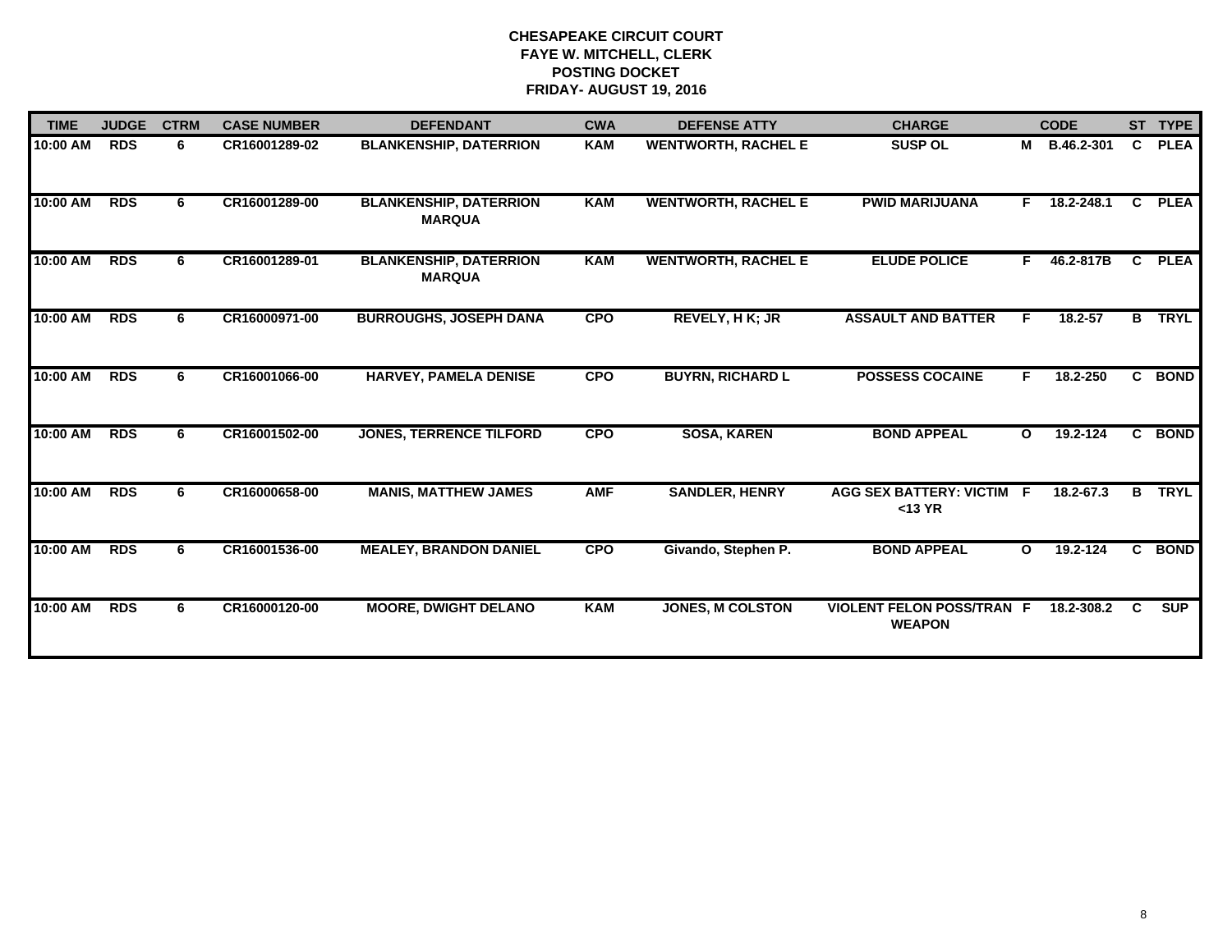| <b>TIME</b> | <b>JUDGE</b> | <b>CTRM</b> | <b>CASE NUMBER</b> | <b>DEFENDANT</b>                               | <b>CWA</b> | <b>DEFENSE ATTY</b>        | <b>CHARGE</b>                                     |              | <b>CODE</b> |                | ST TYPE     |
|-------------|--------------|-------------|--------------------|------------------------------------------------|------------|----------------------------|---------------------------------------------------|--------------|-------------|----------------|-------------|
| 10:00 AM    | <b>RDS</b>   | 6           | CR16001289-02      | <b>BLANKENSHIP, DATERRION</b>                  | <b>KAM</b> | <b>WENTWORTH, RACHEL E</b> | <b>SUSP OL</b>                                    | M            | B.46.2-301  | C              | <b>PLEA</b> |
| 10:00 AM    | <b>RDS</b>   | 6           | CR16001289-00      | <b>BLANKENSHIP, DATERRION</b><br><b>MARQUA</b> | KAM        | <b>WENTWORTH, RACHEL E</b> | <b>PWID MARIJUANA</b>                             | F.           | 18.2-248.1  | C.             | <b>PLEA</b> |
| 10:00 AM    | <b>RDS</b>   | 6           | CR16001289-01      | <b>BLANKENSHIP, DATERRION</b><br><b>MARQUA</b> | KAM        | <b>WENTWORTH, RACHEL E</b> | <b>ELUDE POLICE</b>                               | F            | 46.2-817B   | C              | <b>PLEA</b> |
| 10:00 AM    | <b>RDS</b>   | 6           | CR16000971-00      | <b>BURROUGHS, JOSEPH DANA</b>                  | <b>CPO</b> | REVELY, H K; JR            | <b>ASSAULT AND BATTER</b>                         | F            | 18.2-57     | B              | <b>TRYL</b> |
| 10:00 AM    | <b>RDS</b>   | 6           | CR16001066-00      | <b>HARVEY, PAMELA DENISE</b>                   | <b>CPO</b> | <b>BUYRN, RICHARD L</b>    | <b>POSSESS COCAINE</b>                            | F.           | 18.2-250    | $\mathbf{c}$   | <b>BOND</b> |
| 10:00 AM    | <b>RDS</b>   | 6           | CR16001502-00      | <b>JONES, TERRENCE TILFORD</b>                 | <b>CPO</b> | <b>SOSA, KAREN</b>         | <b>BOND APPEAL</b>                                | $\mathbf{o}$ | 19.2-124    | $\overline{c}$ | <b>BOND</b> |
| 10:00 AM    | <b>RDS</b>   | 6           | CR16000658-00      | <b>MANIS, MATTHEW JAMES</b>                    | <b>AMF</b> | <b>SANDLER, HENRY</b>      | <b>AGG SEX BATTERY: VICTIM F</b><br>$<$ 13 YR     |              | 18.2-67.3   | B              | <b>TRYL</b> |
| 10:00 AM    | <b>RDS</b>   | 6           | CR16001536-00      | <b>MEALEY, BRANDON DANIEL</b>                  | <b>CPO</b> | Givando, Stephen P.        | <b>BOND APPEAL</b>                                | $\mathbf{o}$ | 19.2-124    | C.             | <b>BOND</b> |
| 10:00 AM    | <b>RDS</b>   | 6           | CR16000120-00      | <b>MOORE, DWIGHT DELANO</b>                    | <b>KAM</b> | JONES, M COLSTON           | <b>VIOLENT FELON POSS/TRAN F</b><br><b>WEAPON</b> |              | 18.2-308.2  | C.             | <b>SUP</b>  |